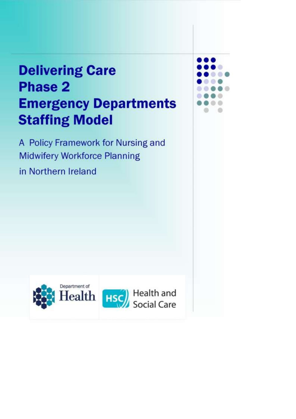# **Delivering Care Phase 2 Emergency Departments Staffing Model**

A Policy Framework for Nursing and **Midwifery Workforce Planning** 

in Northern Ireland



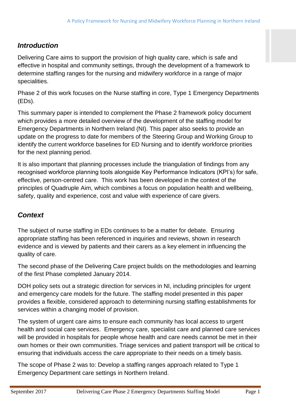# *Introduction*

Delivering Care aims to support the provision of high quality care, which is safe and effective in hospital and community settings, through the development of a framework to determine staffing ranges for the nursing and midwifery workforce in a range of major specialities.

Phase 2 of this work focuses on the Nurse staffing in core, Type 1 Emergency Departments (EDs).

This summary paper is intended to complement the Phase 2 framework policy document which provides a more detailed overview of the development of the staffing model for Emergency Departments in Northern Ireland (NI). This paper also seeks to provide an update on the progress to date for members of the Steering Group and Working Group to identify the current workforce baselines for ED Nursing and to identify workforce priorities for the next planning period.

It is also important that planning processes include the triangulation of findings from any recognised workforce planning tools alongside Key Performance Indicators (KPI's) for safe, effective, person-centred care. This work has been developed in the context of the principles of Quadruple Aim, which combines a focus on population health and wellbeing, safety, quality and experience, cost and value with experience of care givers.

# *Context*

The subject of nurse staffing in EDs continues to be a matter for debate. Ensuring appropriate staffing has been referenced in inquiries and reviews, shown in research evidence and is viewed by patients and their carers as a key element in influencing the quality of care.

The second phase of the Delivering Care project builds on the methodologies and learning of the first Phase completed January 2014.

DOH policy sets out a strategic direction for services in NI, including principles for urgent and emergency care models for the future. The staffing model presented in this paper provides a flexible, considered approach to determining nursing staffing establishments for services within a changing model of provision.

The system of urgent care aims to ensure each community has local access to urgent health and social care services. Emergency care, specialist care and planned care services will be provided in hospitals for people whose health and care needs cannot be met in their own homes or their own communities. Triage services and patient transport will be critical to ensuring that individuals access the care appropriate to their needs on a timely basis.

The scope of Phase 2 was to: Develop a staffing ranges approach related to Type 1 Emergency Department care settings in Northern Ireland.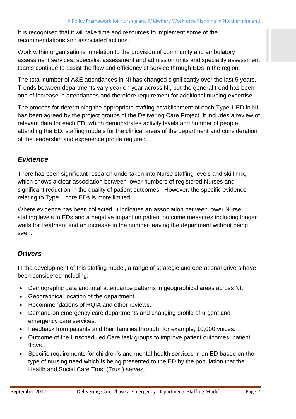It is recognised that it will take time and resources to implement some of the recommendations and associated actions.

Work within organisations in relation to the provision of community and ambulatory assessment services, specialist assessment and admission units and speciality assessment teams continue to assist the flow and efficiency of service through EDs in the region.

The total number of A&E attendances in NI has changed significantly over the last 5 years. Trends between departments vary year on year across NI, but the general trend has been one of increase in attendances and therefore requirement for additional nursing expertise.

The process for determining the appropriate staffing establishment of each Type 1 ED in NI has been agreed by the project groups of the Delivering Care Project. It includes a review of relevant data for each ED, which demonstrates activity levels and number of people attending the ED, staffing models for the clinical areas of the department and consideration of the leadership and experience profile required.

## *Evidence*

There has been significant research undertaken into Nurse staffing levels and skill mix, which shows a clear association between lower numbers of registered Nurses and significant reduction in the quality of patient outcomes. However, the specific evidence relating to Type 1 core EDs is more limited.

Where evidence has been collected, it indicates an association between lower Nurse staffing levels in EDs and a negative impact on patient outcome measures including longer waits for treatment and an increase in the number leaving the department without being seen.

# *Drivers*

In the development of this staffing model, a range of strategic and operational drivers have been considered including:

- Demographic data and total attendance patterns in geographical areas across NI.
- Geographical location of the department.
- Recommendations of RQIA and other reviews.
- Demand on emergency care departments and changing profile of urgent and emergency care services.
- Feedback from patients and their families through, for example, 10,000 voices.
- Outcome of the Unscheduled Care task groups to improve patient outcomes, patient flows.
- Specific requirements for children's and mental health services in an ED based on the type of nursing need which is being presented to the ED by the population that the Health and Social Care Trust (Trust) serves.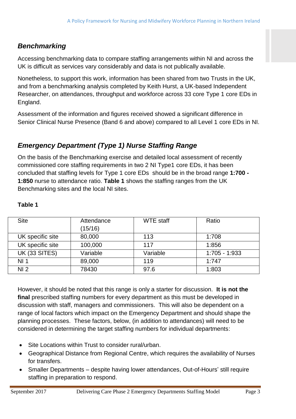# *Benchmarking*

Accessing benchmarking data to compare staffing arrangements within NI and across the UK is difficult as services vary considerably and data is not publically available.

Nonetheless, to support this work, information has been shared from two Trusts in the UK, and from a benchmarking analysis completed by Keith Hurst, a UK-based Independent Researcher, on attendances, throughput and workforce across 33 core Type 1 core EDs in England.

Assessment of the information and figures received showed a significant difference in Senior Clinical Nurse Presence (Band 6 and above) compared to all Level 1 core EDs in NI.

# *Emergency Department (Type 1) Nurse Staffing Range*

On the basis of the Benchmarking exercise and detailed local assessment of recently commissioned core staffing requirements in two 2 NI Type1 core EDs, it has been concluded that staffing levels for Type 1 core EDs should be in the broad range **1:700 - 1:850** nurse to attendance ratio. **Table 1** shows the staffing ranges from the UK Benchmarking sites and the local NI sites.

#### **Table 1**

| <b>Site</b>      | Attendance | <b>WTE staff</b> | Ratio         |
|------------------|------------|------------------|---------------|
|                  | (15/16)    |                  |               |
| UK specific site | 80,000     | 113              | 1:708         |
| UK specific site | 100,000    | 117              | 1:856         |
| UK (33 SITES)    | Variable   | Variable         | 1:705 - 1:933 |
| NI <sub>1</sub>  | 89,000     | 119              | 1:747         |
| NI <sub>2</sub>  | 78430      | 97.6             | 1:803         |

However, it should be noted that this range is only a starter for discussion. **It is not the final** prescribed staffing numbers for every department as this must be developed in discussion with staff, managers and commissioners. This will also be dependent on a range of local factors which impact on the Emergency Department and should shape the planning processes. These factors, below, (in addition to attendances) will need to be considered in determining the target staffing numbers for individual departments:

- Site Locations within Trust to consider rural/urban.
- Geographical Distance from Regional Centre, which requires the availability of Nurses for transfers.
- Smaller Departments despite having lower attendances, Out-of-Hours' still require staffing in preparation to respond.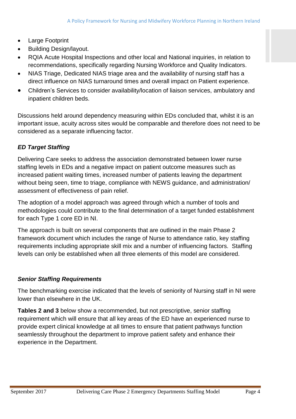- Large Footprint
- Building Design/layout.
- RQIA Acute Hospital Inspections and other local and National inquiries, in relation to recommendations, specifically regarding Nursing Workforce and Quality Indicators.
- NIAS Triage, Dedicated NIAS triage area and the availability of nursing staff has a direct influence on NIAS turnaround times and overall impact on Patient experience.
- Children's Services to consider availability/location of liaison services, ambulatory and inpatient children beds.

Discussions held around dependency measuring within EDs concluded that, whilst it is an important issue, acuity across sites would be comparable and therefore does not need to be considered as a separate influencing factor.

#### *ED Target Staffing*

Delivering Care seeks to address the association demonstrated between lower nurse staffing levels in EDs and a negative impact on patient outcome measures such as increased patient waiting times, increased number of patients leaving the department without being seen, time to triage, compliance with NEWS guidance, and administration/ assessment of effectiveness of pain relief.

The adoption of a model approach was agreed through which a number of tools and methodologies could contribute to the final determination of a target funded establishment for each Type 1 core ED in NI.

The approach is built on several components that are outlined in the main Phase 2 framework document which includes the range of Nurse to attendance ratio, key staffing requirements including appropriate skill mix and a number of influencing factors. Staffing levels can only be established when all three elements of this model are considered.

#### *Senior Staffing Requirements*

The benchmarking exercise indicated that the levels of seniority of Nursing staff in NI were lower than elsewhere in the UK.

**Tables 2 and 3** below show a recommended, but not prescriptive, senior staffing requirement which will ensure that all key areas of the ED have an experienced nurse to provide expert clinical knowledge at all times to ensure that patient pathways function seamlessly throughout the department to improve patient safety and enhance their experience in the Department.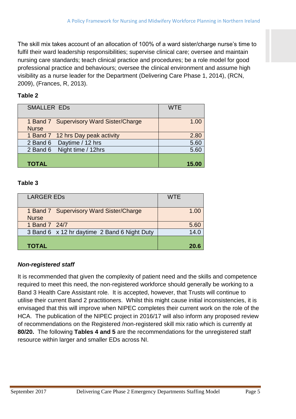The skill mix takes account of an allocation of 100% of a ward sister/charge nurse's time to fulfil their ward leadership responsibilities; supervise clinical care; oversee and maintain nursing care standards; teach clinical practice and procedures; be a role model for good professional practice and behaviours; oversee the clinical environment and assume high visibility as a nurse leader for the Department (Delivering Care Phase 1, 2014), (RCN, 2009), (Frances, R, 2013).

### **Table 2**

| <b>SMALLER EDS</b> |                                         | <b>WTE</b> |       |
|--------------------|-----------------------------------------|------------|-------|
|                    | 1 Band 7 Supervisory Ward Sister/Charge |            | 1.00  |
| <b>Nurse</b>       |                                         |            |       |
|                    | 1 Band 7 12 hrs Day peak activity       |            | 2.80  |
|                    | 2 Band 6 Daytime / 12 hrs               |            | 5.60  |
|                    | 2 Band 6 Night time / 12hrs             |            | 5.60  |
|                    |                                         |            |       |
| <b>TOTAL</b>       |                                         |            | 15.00 |

#### **Table 3**

| <b>LARGER EDS</b> |                                              | <b>WTF</b> |      |
|-------------------|----------------------------------------------|------------|------|
|                   | 1 Band 7 Supervisory Ward Sister/Charge      |            | 1.00 |
| <b>Nurse</b>      |                                              |            |      |
| 1 Band 7 24/7     |                                              |            | 5.60 |
|                   | 3 Band 6 x 12 hr daytime 2 Band 6 Night Duty |            | 14 C |
| <b>TOTAL</b>      |                                              |            |      |

#### *Non-registered staff*

It is recommended that given the complexity of patient need and the skills and competence required to meet this need, the non-registered workforce should generally be working to a Band 3 Health Care Assistant role. It is accepted, however, that Trusts will continue to utilise their current Band 2 practitioners. Whilst this might cause initial inconsistencies, it is envisaged that this will improve when NIPEC completes their current work on the role of the HCA. The publication of the NIPEC project in 2016/17 will also inform any proposed review of recommendations on the Registered /non-registered skill mix ratio which is currently at **80/20.** The following **Tables 4 and 5** are the recommendations for the unregistered staff resource within larger and smaller EDs across NI.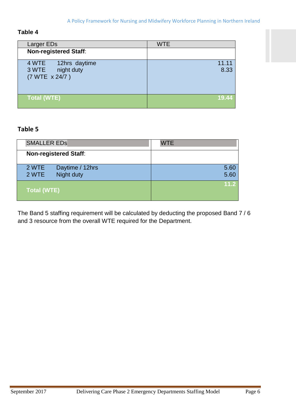#### **Table 4**

| <b>Larger EDs</b>                                                | <b>WTE</b>    |
|------------------------------------------------------------------|---------------|
| <b>Non-registered Staff:</b>                                     |               |
| 4 WTE<br>12hrs daytime<br>3 WTE<br>night duty<br>(7 WTE x 24/7 ) | 11.11<br>8.33 |
| Total (WTE)                                                      | 19.44         |

## **Table 5**

| <b>SMALLER EDS</b>                              | <b>WTE</b>   |
|-------------------------------------------------|--------------|
| <b>Non-registered Staff:</b>                    |              |
| 2 WTE<br>Daytime / 12hrs<br>Night duty<br>2 WTE | 5.60<br>5.60 |
| <b>Total (WTE)</b>                              |              |

The Band 5 staffing requirement will be calculated by deducting the proposed Band 7 / 6 and 3 resource from the overall WTE required for the Department.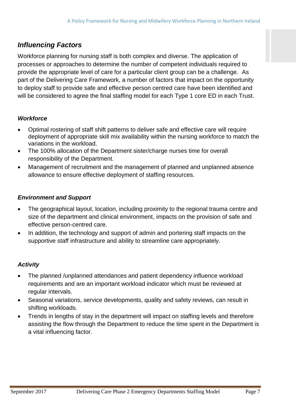# *Influencing Factors*

Workforce planning for nursing staff is both complex and diverse. The application of processes or approaches to determine the number of competent individuals required to provide the appropriate level of care for a particular client group can be a challenge. As part of the Delivering Care Framework, a number of factors that impact on the opportunity to deploy staff to provide safe and effective person centred care have been identified and will be considered to agree the final staffing model for each Type 1 core ED in each Trust.

#### *Workforce*

- Optimal rostering of staff shift patterns to deliver safe and effective care will require deployment of appropriate skill mix availability within the nursing workforce to match the variations in the workload.
- The 100% allocation of the Department sister/charge nurses time for overall responsibility of the Department.
- Management of recruitment and the management of planned and unplanned absence allowance to ensure effective deployment of staffing resources.

#### *Environment and Support*

- The geographical layout, location, including proximity to the regional trauma centre and size of the department and clinical environment, impacts on the provision of safe and effective person-centred care.
- In addition, the technology and support of admin and portering staff impacts on the supportive staff infrastructure and ability to streamline care appropriately.

## *Activity*

- The planned /unplanned attendances and patient dependency influence workload requirements and are an important workload indicator which must be reviewed at regular intervals.
- Seasonal variations, service developments, quality and safety reviews, can result in shifting workloads.
- Trends in lengths of stay in the department will impact on staffing levels and therefore assisting the flow through the Department to reduce the time spent in the Department is a vital influencing factor.